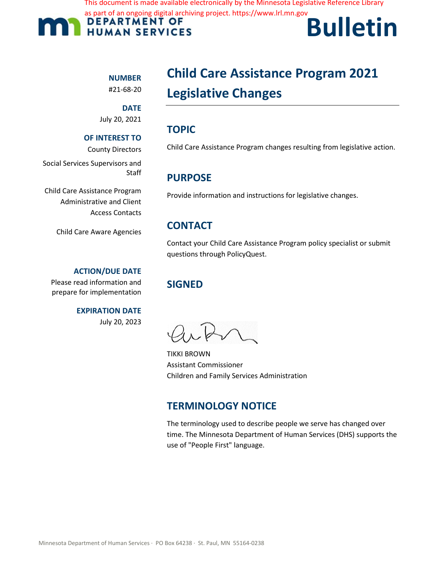This document is made available electronically by the Minnesota Legislative Reference Library

as part of an ongoing digital archiving project. https://www.lrl.mn.gov



# **Bulletin**

### **NUMBER**

#21-68-20

**DATE**  July 20, 2021

#### **OF INTEREST TO**

County Directors

Social Services Supervisors and **Staff** 

Child Care Assistance Program Administrative and Client Access Contacts

Child Care Aware Agencies

#### **ACTION/DUE DATE**

Please read information and prepare for implementation

> **EXPIRATION DATE** July 20, 2023

# **Child Care Assistance Program 2021 Legislative Changes**

# **TOPIC**

Child Care Assistance Program changes resulting from legislative action.

# **PURPOSE**

Provide information and instructions for legislative changes.

# **CONTACT**

Contact your Child Care Assistance Program policy specialist or submit questions through PolicyQuest.

# **SIGNED**

TIKKI BROWN Assistant Commissioner Children and Family Services Administration

# **TERMINOLOGY NOTICE**

The terminology used to describe people we serve has changed over time. The Minnesota Department of Human Services (DHS) supports the use of "People First" language.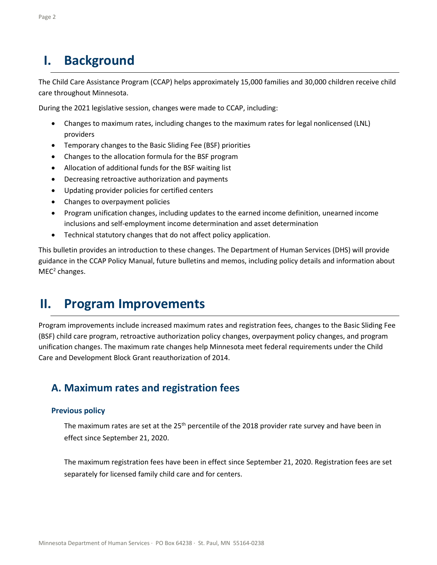# **I. Background**

The Child Care Assistance Program (CCAP) helps approximately 15,000 families and 30,000 children receive child care throughout Minnesota.

During the 2021 legislative session, changes were made to CCAP, including:

- Changes to maximum rates, including changes to the maximum rates for legal nonlicensed (LNL) providers
- Temporary changes to the Basic Sliding Fee (BSF) priorities
- Changes to the allocation formula for the BSF program
- Allocation of additional funds for the BSF waiting list
- Decreasing retroactive authorization and payments
- Updating provider policies for certified centers
- Changes to overpayment policies
- Program unification changes, including updates to the earned income definition, unearned income inclusions and self-employment income determination and asset determination
- Technical statutory changes that do not affect policy application.

This bulletin provides an introduction to these changes. The Department of Human Services (DHS) will provide guidance in the CCAP Policy Manual, future bulletins and memos, including policy details and information about  $MEC<sup>2</sup>$  changes.

# **II. Program Improvements**

Program improvements include increased maximum rates and registration fees, changes to the Basic Sliding Fee (BSF) child care program, retroactive authorization policy changes, overpayment policy changes, and program unification changes. The maximum rate changes help Minnesota meet federal requirements under the Child Care and Development Block Grant reauthorization of 2014.

# **A. Maximum rates and registration fees**

#### **Previous policy**

The maximum rates are set at the 25<sup>th</sup> percentile of the 2018 provider rate survey and have been in effect since September 21, 2020.

The maximum registration fees have been in effect since September 21, 2020. Registration fees are set separately for licensed family child care and for centers.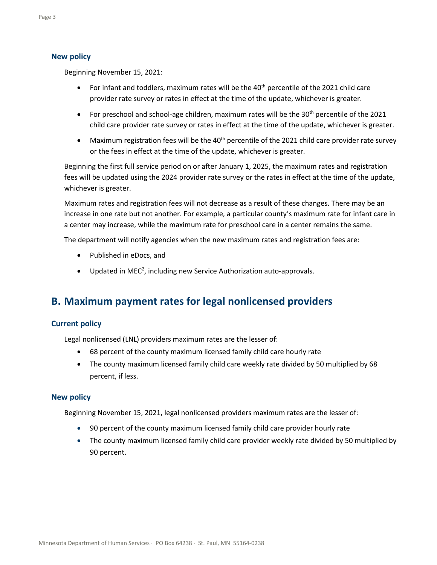#### **New policy**

Beginning November 15, 2021:

- For infant and toddlers, maximum rates will be the  $40<sup>th</sup>$  percentile of the 2021 child care provider rate survey or rates in effect at the time of the update, whichever is greater.
- For preschool and school-age children, maximum rates will be the 30<sup>th</sup> percentile of the 2021 child care provider rate survey or rates in effect at the time of the update, whichever is greater.
- Maximum registration fees will be the  $40<sup>th</sup>$  percentile of the 2021 child care provider rate survey or the fees in effect at the time of the update, whichever is greater.

Beginning the first full service period on or after January 1, 2025, the maximum rates and registration fees will be updated using the 2024 provider rate survey or the rates in effect at the time of the update, whichever is greater.

Maximum rates and registration fees will not decrease as a result of these changes. There may be an increase in one rate but not another. For example, a particular county's maximum rate for infant care in a center may increase, while the maximum rate for preschool care in a center remains the same.

The department will notify agencies when the new maximum rates and registration fees are:

- Published in eDocs, and
- $\bullet$  Updated in MEC<sup>2</sup>, including new Service Authorization auto-approvals.

# **B. Maximum payment rates for legal nonlicensed providers**

#### **Current policy**

Legal nonlicensed (LNL) providers maximum rates are the lesser of:

- 68 percent of the county maximum licensed family child care hourly rate
- The county maximum licensed family child care weekly rate divided by 50 multiplied by 68 percent, if less.

#### **New policy**

Beginning November 15, 2021, legal nonlicensed providers maximum rates are the lesser of:

- 90 percent of the county maximum licensed family child care provider hourly rate
- The county maximum licensed family child care provider weekly rate divided by 50 multiplied by 90 percent.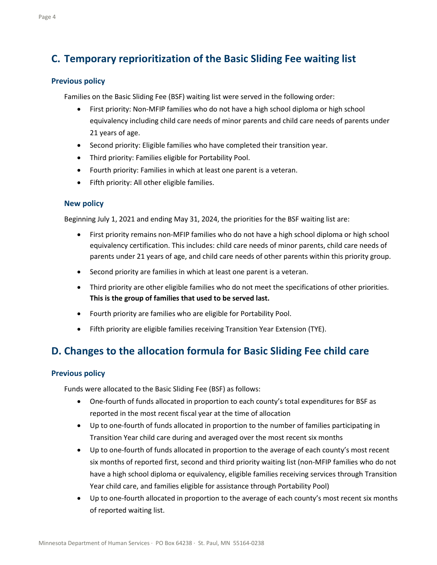# **C. Temporary reprioritization of the Basic Sliding Fee waiting list**

#### **Previous policy**

Families on the Basic Sliding Fee (BSF) waiting list were served in the following order:

- First priority: Non-MFIP families who do not have a high school diploma or high school equivalency including child care needs of minor parents and child care needs of parents under 21 years of age.
- Second priority: Eligible families who have completed their transition year.
- Third priority: Families eligible for Portability Pool.
- Fourth priority: Families in which at least one parent is a veteran.
- Fifth priority: All other eligible families.

#### **New policy**

Beginning July 1, 2021 and ending May 31, 2024, the priorities for the BSF waiting list are:

- First priority remains non-MFIP families who do not have a high school diploma or high school equivalency certification. This includes: child care needs of minor parents, child care needs of parents under 21 years of age, and child care needs of other parents within this priority group.
- Second priority are families in which at least one parent is a veteran.
- Third priority are other eligible families who do not meet the specifications of other priorities. **This is the group of families that used to be served last.**
- Fourth priority are families who are eligible for Portability Pool.
- Fifth priority are eligible families receiving Transition Year Extension (TYE).

# **D. Changes to the allocation formula for Basic Sliding Fee child care**

#### **Previous policy**

Funds were allocated to the Basic Sliding Fee (BSF) as follows:

- One-fourth of funds allocated in proportion to each county's total expenditures for BSF as reported in the most recent fiscal year at the time of allocation
- Up to one-fourth of funds allocated in proportion to the number of families participating in Transition Year child care during and averaged over the most recent six months
- Up to one-fourth of funds allocated in proportion to the average of each county's most recent six months of reported first, second and third priority waiting list (non-MFIP families who do not have a high school diploma or equivalency, eligible families receiving services through Transition Year child care, and families eligible for assistance through Portability Pool)
- Up to one-fourth allocated in proportion to the average of each county's most recent six months of reported waiting list.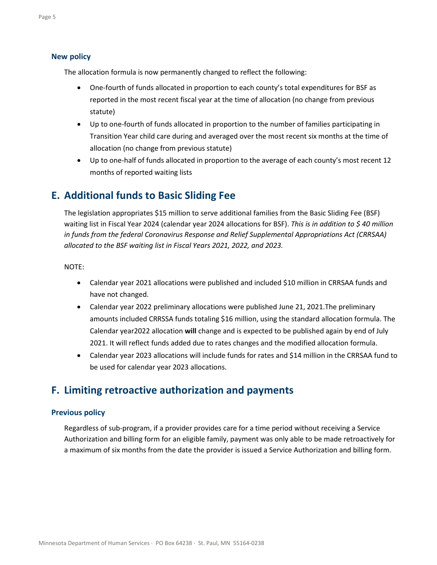#### **New policy**

The allocation formula is now permanently changed to reflect the following:

- One-fourth of funds allocated in proportion to each county's total expenditures for BSF as reported in the most recent fiscal year at the time of allocation (no change from previous statute)
- Up to one-fourth of funds allocated in proportion to the number of families participating in Transition Year child care during and averaged over the most recent six months at the time of allocation (no change from previous statute)
- Up to one-half of funds allocated in proportion to the average of each county's most recent 12 months of reported waiting lists

# **E. Additional funds to Basic Sliding Fee**

The legislation appropriates \$15 million to serve additional families from the Basic Sliding Fee (BSF) waiting list in Fiscal Year 2024 (calendar year 2024 allocations for BSF). *This is in addition to \$ 40 million in funds from the federal Coronavirus Response and Relief Supplemental Appropriations Act (CRRSAA) allocated to the BSF waiting list in Fiscal Years 2021, 2022, and 2023.* 

NOTE:

- Calendar year 2021 allocations were published and included \$10 million in CRRSAA funds and have not changed.
- Calendar year 2022 preliminary allocations were published June 21, 2021.The preliminary amounts included CRRSSA funds totaling \$16 million, using the standard allocation formula. The Calendar year2022 allocation **will** change and is expected to be published again by end of July 2021. It will reflect funds added due to rates changes and the modified allocation formula.
- Calendar year 2023 allocations will include funds for rates and \$14 million in the CRRSAA fund to be used for calendar year 2023 allocations.

# **F. Limiting retroactive authorization and payments**

#### **Previous policy**

Regardless of sub-program, if a provider provides care for a time period without receiving a Service Authorization and billing form for an eligible family, payment was only able to be made retroactively for a maximum of six months from the date the provider is issued a Service Authorization and billing form.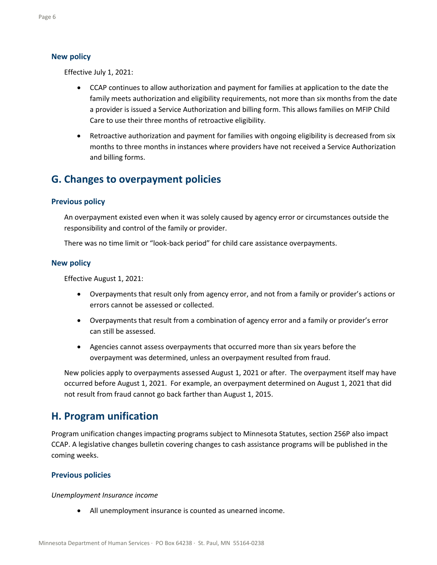#### **New policy**

Effective July 1, 2021:

- CCAP continues to allow authorization and payment for families at application to the date the family meets authorization and eligibility requirements, not more than six months from the date a provider is issued a Service Authorization and billing form. This allows families on MFIP Child Care to use their three months of retroactive eligibility.
- Retroactive authorization and payment for families with ongoing eligibility is decreased from six months to three months in instances where providers have not received a Service Authorization and billing forms.

# **G. Changes to overpayment policies**

#### **Previous policy**

An overpayment existed even when it was solely caused by agency error or circumstances outside the responsibility and control of the family or provider.

There was no time limit or "look-back period" for child care assistance overpayments.

#### **New policy**

Effective August 1, 2021:

- Overpayments that result only from agency error, and not from a family or provider's actions or errors cannot be assessed or collected.
- Overpayments that result from a combination of agency error and a family or provider's error can still be assessed.
- Agencies cannot assess overpayments that occurred more than six years before the overpayment was determined, unless an overpayment resulted from fraud.

New policies apply to overpayments assessed August 1, 2021 or after. The overpayment itself may have occurred before August 1, 2021. For example, an overpayment determined on August 1, 2021 that did not result from fraud cannot go back farther than August 1, 2015.

### **H. Program unification**

Program unification changes impacting programs subject to Minnesota Statutes, section 256P also impact CCAP. A legislative changes bulletin covering changes to cash assistance programs will be published in the coming weeks.

#### **Previous policies**

*Unemployment Insurance income*

• All unemployment insurance is counted as unearned income.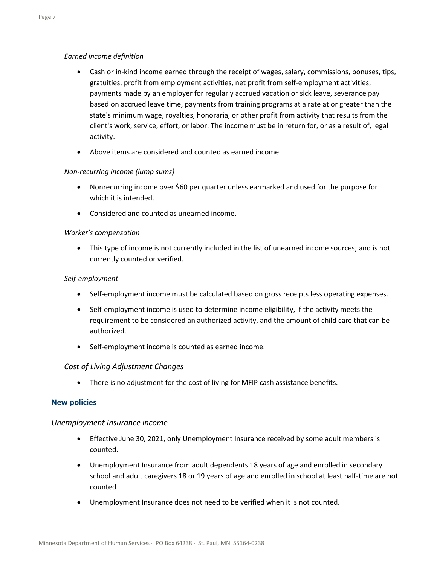#### *Earned income definition*

- Cash or in-kind income earned through the receipt of wages, salary, commissions, bonuses, tips, gratuities, profit from employment activities, net profit from self-employment activities, payments made by an employer for regularly accrued vacation or sick leave, severance pay based on accrued leave time, payments from training programs at a rate at or greater than the state's minimum wage, royalties, honoraria, or other profit from activity that results from the client's work, service, effort, or labor. The income must be in return for, or as a result of, legal activity.
- Above items are considered and counted as earned income.

#### *Non-recurring income (lump sums)*

- Nonrecurring income over \$60 per quarter unless earmarked and used for the purpose for which it is intended.
- Considered and counted as unearned income.

#### *Worker's compensation*

• This type of income is not currently included in the list of unearned income sources; and is not currently counted or verified.

#### *Self-employment*

- Self-employment income must be calculated based on gross receipts less operating expenses.
- Self-employment income is used to determine income eligibility, if the activity meets the requirement to be considered an authorized activity, and the amount of child care that can be authorized.
- Self-employment income is counted as earned income.

#### *Cost of Living Adjustment Changes*

• There is no adjustment for the cost of living for MFIP cash assistance benefits.

#### **New policies**

#### *Unemployment Insurance income*

- Effective June 30, 2021, only Unemployment Insurance received by some adult members is counted.
- Unemployment Insurance from adult dependents 18 years of age and enrolled in secondary school and adult caregivers 18 or 19 years of age and enrolled in school at least half-time are not counted
- Unemployment Insurance does not need to be verified when it is not counted.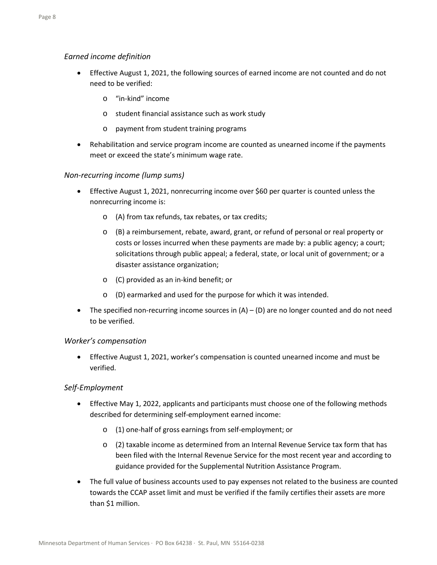#### *Earned income definition*

- Effective August 1, 2021, the following sources of earned income are not counted and do not need to be verified:
	- o "in-kind" income
	- o student financial assistance such as work study
	- o payment from student training programs
- Rehabilitation and service program income are counted as unearned income if the payments meet or exceed the state's minimum wage rate.

#### *Non-recurring income (lump sums)*

- Effective August 1, 2021, nonrecurring income over \$60 per quarter is counted unless the nonrecurring income is:
	- o (A) from tax refunds, tax rebates, or tax credits;
	- o (B) a reimbursement, rebate, award, grant, or refund of personal or real property or costs or losses incurred when these payments are made by: a public agency; a court; solicitations through public appeal; a federal, state, or local unit of government; or a disaster assistance organization;
	- o (C) provided as an in-kind benefit; or
	- o (D) earmarked and used for the purpose for which it was intended.
- The specified non-recurring income sources in  $(A) (D)$  are no longer counted and do not need to be verified.

#### *Worker's compensation*

• Effective August 1, 2021, worker's compensation is counted unearned income and must be verified.

#### *Self-Employment*

- Effective May 1, 2022, applicants and participants must choose one of the following methods described for determining self-employment earned income:
	- o (1) one-half of gross earnings from self-employment; or
	- o (2) taxable income as determined from an Internal Revenue Service tax form that has been filed with the Internal Revenue Service for the most recent year and according to guidance provided for the Supplemental Nutrition Assistance Program.
- The full value of business accounts used to pay expenses not related to the business are counted towards the CCAP asset limit and must be verified if the family certifies their assets are more than \$1 million.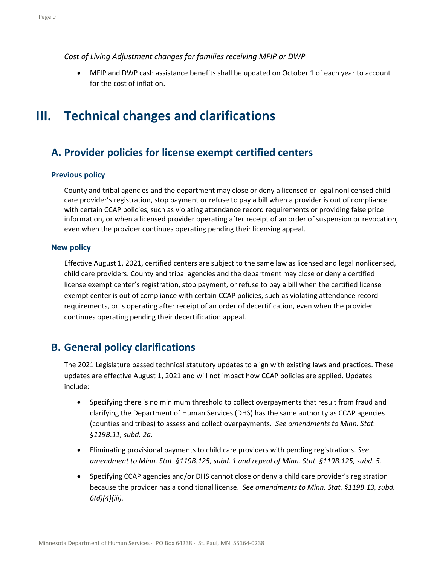*Cost of Living Adjustment changes for families receiving MFIP or DWP*

• MFIP and DWP cash assistance benefits shall be updated on October 1 of each year to account for the cost of inflation.

# **III. Technical changes and clarifications**

# **A. Provider policies for license exempt certified centers**

#### **Previous policy**

County and tribal agencies and the department may close or deny a licensed or legal nonlicensed child care provider's registration, stop payment or refuse to pay a bill when a provider is out of compliance with certain CCAP policies, such as violating attendance record requirements or providing false price information, or when a licensed provider operating after receipt of an order of suspension or revocation, even when the provider continues operating pending their licensing appeal.

#### **New policy**

Effective August 1, 2021, certified centers are subject to the same law as licensed and legal nonlicensed, child care providers. County and tribal agencies and the department may close or deny a certified license exempt center's registration, stop payment, or refuse to pay a bill when the certified license exempt center is out of compliance with certain CCAP policies, such as violating attendance record requirements, or is operating after receipt of an order of decertification, even when the provider continues operating pending their decertification appeal.

# **B. General policy clarifications**

The 2021 Legislature passed technical statutory updates to align with existing laws and practices. These updates are effective August 1, 2021 and will not impact how CCAP policies are applied. Updates include:

- Specifying there is no minimum threshold to collect overpayments that result from fraud and clarifying the Department of Human Services (DHS) has the same authority as CCAP agencies (counties and tribes) to assess and collect overpayments. *See amendments to Minn. Stat. §119B.11, subd. 2a.*
- Eliminating provisional payments to child care providers with pending registrations. *See amendment to Minn. Stat. §119B.125, subd. 1 and repeal of Minn. Stat. §119B.125, subd. 5.*
- Specifying CCAP agencies and/or DHS cannot close or deny a child care provider's registration because the provider has a conditional license. *See amendments to Minn. Stat. §119B.13, subd. 6(d)(4)(iii).*